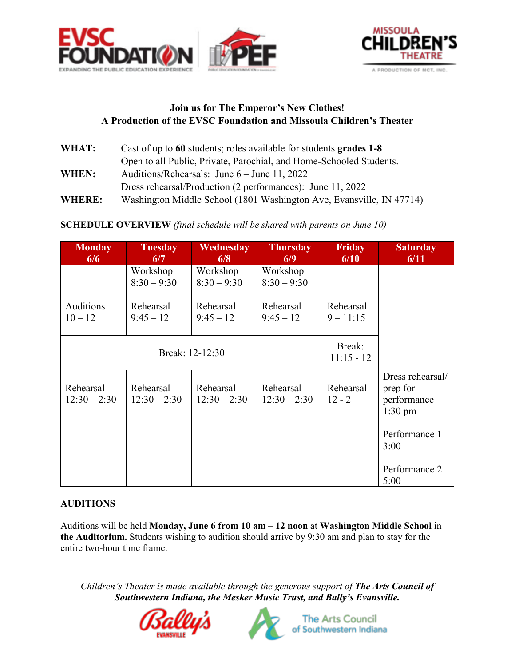



## **Join us for The Emperor's New Clothes! A Production of the EVSC Foundation and Missoula Children's Theater**

| WHAT:         | Cast of up to 60 students; roles available for students grades 1-8   |  |  |  |
|---------------|----------------------------------------------------------------------|--|--|--|
|               | Open to all Public, Private, Parochial, and Home-Schooled Students.  |  |  |  |
| <b>WHEN:</b>  | Auditions/Rehearsals: June $6 -$ June 11, 2022                       |  |  |  |
|               | Dress rehearsal/Production (2 performances): June 11, 2022           |  |  |  |
| <b>WHERE:</b> | Washington Middle School (1801 Washington Ave, Evansville, IN 47714) |  |  |  |

# **SCHEDULE OVERVIEW** *(final schedule will be shared with parents on June 10)*

| <b>Monday</b><br>6/6        | <b>Tuesday</b><br>6/7       | Wednesday<br>6/8            | <b>Thursday</b><br>6/9      | <b>Friday</b><br>6/10    | <b>Saturday</b><br>6/11                                                                   |
|-----------------------------|-----------------------------|-----------------------------|-----------------------------|--------------------------|-------------------------------------------------------------------------------------------|
|                             | Workshop<br>$8:30 - 9:30$   | Workshop<br>$8:30 - 9:30$   | Workshop<br>$8:30 - 9:30$   |                          |                                                                                           |
| Auditions<br>$10 - 12$      | Rehearsal<br>$9:45 - 12$    | Rehearsal<br>$9:45 - 12$    | Rehearsal<br>$9:45 - 12$    | Rehearsal<br>$9 - 11:15$ |                                                                                           |
|                             | Break: 12-12:30             | Break:<br>$11:15 - 12$      |                             |                          |                                                                                           |
| Rehearsal<br>$12:30 - 2:30$ | Rehearsal<br>$12:30 - 2:30$ | Rehearsal<br>$12:30 - 2:30$ | Rehearsal<br>$12:30 - 2:30$ | Rehearsal<br>$12 - 2$    | Dress rehearsal/<br>prep for<br>performance<br>$1:30 \text{ pm}$<br>Performance 1<br>3:00 |
|                             |                             |                             |                             |                          | Performance 2<br>5:00                                                                     |

## **AUDITIONS**

Auditions will be held **Monday, June 6 from 10 am – 12 noon** at **Washington Middle School** in **the Auditorium.** Students wishing to audition should arrive by 9:30 am and plan to stay for the entire two-hour time frame.

*Children's Theater is made available through the generous support of The Arts Council of Southwestern Indiana, the Mesker Music Trust, and Bally's Evansville.*





**The Arts Council** of Southwestern Indiana